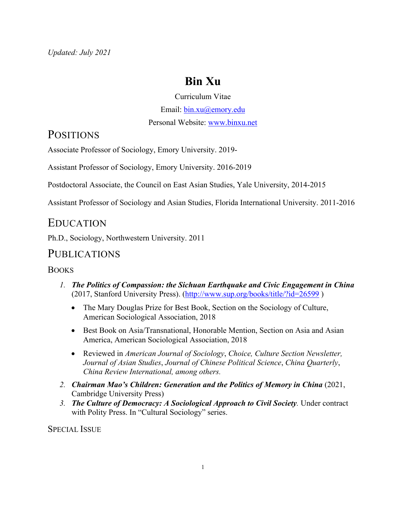# **Bin Xu**

#### Curriculum Vitae

Email: bin.xu@emory.edu

Personal Website: www.binxu.net

### **POSITIONS**

Associate Professor of Sociology, Emory University. 2019-

Assistant Professor of Sociology, Emory University. 2016-2019

Postdoctoral Associate, the Council on East Asian Studies, Yale University, 2014-2015

Assistant Professor of Sociology and Asian Studies, Florida International University. 2011-2016

### EDUCATION

Ph.D., Sociology, Northwestern University. 2011

## **PUBLICATIONS**

### **BOOKS**

- *1. The Politics of Compassion: the Sichuan Earthquake and Civic Engagement in China* (2017, Stanford University Press). (http://www.sup.org/books/title/?id=26599 )
	- The Mary Douglas Prize for Best Book, Section on the Sociology of Culture, American Sociological Association, 2018
	- Best Book on Asia/Transnational, Honorable Mention, Section on Asia and Asian America, American Sociological Association, 2018
	- Reviewed in *American Journal of Sociology*, *Choice, Culture Section Newsletter, Journal of Asian Studies*, *Journal of Chinese Political Science*, *China Quarterly*, *China Review International, among others.*
- *2. Chairman Mao's Children: Generation and the Politics of Memory in China* (2021, Cambridge University Press)
- *3. The Culture of Democracy: A Sociological Approach to Civil Society.* Under contract with Polity Press. In "Cultural Sociology" series.

SPECIAL ISSUE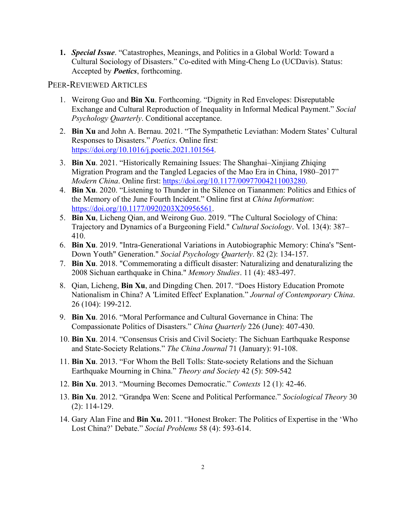**1.** *Special Issue*. "Catastrophes, Meanings, and Politics in a Global World: Toward a Cultural Sociology of Disasters." Co-edited with Ming-Cheng Lo (UCDavis). Status: Accepted by *Poetics*, forthcoming.

#### PEER-REVIEWED ARTICLES

- 1. Weirong Guo and **Bin Xu**. Forthcoming. "Dignity in Red Envelopes: Disreputable Exchange and Cultural Reproduction of Inequality in Informal Medical Payment." *Social Psychology Quarterly*. Conditional acceptance.
- 2. **Bin Xu** and John A. Bernau. 2021. "The Sympathetic Leviathan: Modern States' Cultural Responses to Disasters." *Poetics*. Online first: https://doi.org/10.1016/j.poetic.2021.101564.
- 3. **Bin Xu**. 2021. "Historically Remaining Issues: The Shanghai–Xinjiang Zhiqing Migration Program and the Tangled Legacies of the Mao Era in China, 1980–2017" *Modern China*. Online first: https://doi.org/10.1177/00977004211003280.
- 4. **Bin Xu**. 2020. "Listening to Thunder in the Silence on Tiananmen: Politics and Ethics of the Memory of the June Fourth Incident." Online first at *China Information*: https://doi.org/10.1177/0920203X20956561.
- 5. **Bin Xu**, Licheng Qian, and Weirong Guo. 2019. "The Cultural Sociology of China: Trajectory and Dynamics of a Burgeoning Field." *Cultural Sociology*. Vol. 13(4): 387– 410.
- 6. **Bin Xu**. 2019. "Intra-Generational Variations in Autobiographic Memory: China's "Sent-Down Youth" Generation." *Social Psychology Quarterly*. 82 (2): 134-157.
- 7. **Bin Xu**. 2018. "Commemorating a difficult disaster: Naturalizing and denaturalizing the 2008 Sichuan earthquake in China." *Memory Studies*. 11 (4): 483-497.
- 8. Qian, Licheng, **Bin Xu**, and Dingding Chen. 2017. "Does History Education Promote Nationalism in China? A 'Limited Effect' Explanation." *Journal of Contemporary China*. 26 (104): 199-212.
- 9. **Bin Xu**. 2016. "Moral Performance and Cultural Governance in China: The Compassionate Politics of Disasters." *China Quarterly* 226 (June): 407-430.
- 10. **Bin Xu**. 2014. "Consensus Crisis and Civil Society: The Sichuan Earthquake Response and State-Society Relations." *The China Journal* 71 (January): 91-108.
- 11. **Bin Xu**. 2013. "For Whom the Bell Tolls: State-society Relations and the Sichuan Earthquake Mourning in China." *Theory and Society* 42 (5): 509-542
- 12. **Bin Xu**. 2013. "Mourning Becomes Democratic." *Contexts* 12 (1): 42-46.
- 13. **Bin Xu**. 2012. "Grandpa Wen: Scene and Political Performance." *Sociological Theory* 30 (2): 114-129.
- 14. Gary Alan Fine and **Bin Xu.** 2011. "Honest Broker: The Politics of Expertise in the 'Who Lost China?' Debate." *Social Problems* 58 (4): 593-614.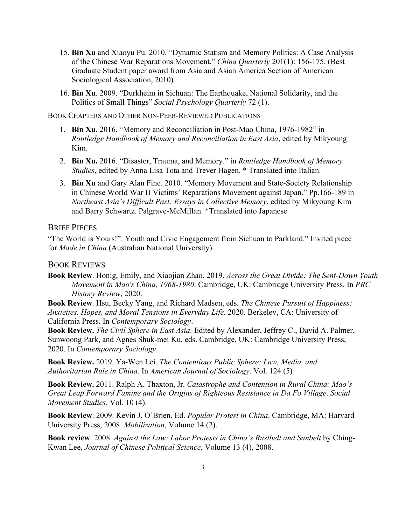- 15. **Bin Xu** and Xiaoyu Pu. 2010. "Dynamic Statism and Memory Politics: A Case Analysis of the Chinese War Reparations Movement." *China Quarterly* 201(1): 156-175. (Best Graduate Student paper award from Asia and Asian America Section of American Sociological Association, 2010)
- 16. **Bin Xu**. 2009. "Durkheim in Sichuan: The Earthquake, National Solidarity, and the Politics of Small Things" *Social Psychology Quarterly* 72 (1).

BOOK CHAPTERS AND OTHER NON-PEER-REVIEWED PUBLICATIONS

- 1. **Bin Xu.** 2016. "Memory and Reconciliation in Post-Mao China, 1976-1982" in *Routledge Handbook of Memory and Reconciliation in East Asia*, edited by Mikyoung Kim.
- 2. **Bin Xu.** 2016. "Disaster, Trauma, and Memory." in *Routledge Handbook of Memory Studies*, edited by Anna Lisa Tota and Trever Hagen. \* Translated into Italian.
- 3. **Bin Xu** and Gary Alan Fine. 2010. "Memory Movement and State-Society Relationship in Chinese World War II Victims' Reparations Movement against Japan." Pp.166-189 in *Northeast Asia's Difficult Past: Essays in Collective Memory*, edited by Mikyoung Kim and Barry Schwartz. Palgrave-McMillan. \*Translated into Japanese

#### **BRIEF PIECES**

"The World is Yours!": Youth and Civic Engagement from Sichuan to Parkland." Invited piece for *Made in China* (Australian National University).

#### BOOK REVIEWS

**Book Review**. Honig, Emily, and Xiaojian Zhao. 2019. *Across the Great Divide: The Sent-Down Youth Movement in Mao's China, 1968-1980*. Cambridge, UK: Cambridge University Press. In *PRC History Review*, 2020.

**Book Review**. Hsu, Becky Yang, and Richard Madsen, eds. *The Chinese Pursuit of Happiness: Anxieties, Hopes, and Moral Tensions in Everyday Life*. 2020. Berkeley, CA: University of California Press. In *Contemporary Sociology*.

**Book Review.** *The Civil Sphere in East Asia*. Edited by Alexander, Jeffrey C., David A. Palmer, Sunwoong Park, and Agnes Shuk-mei Ku, eds. Cambridge, UK: Cambridge University Press, 2020. In *Contemporary Sociology*.

**Book Review.** 2019. Ya-Wen Lei. *The Contentious Public Sphere: Law, Media, and Authoritarian Rule in China*. In *American Journal of Sociology*. Vol. 124 (5)

**Book Review.** 2011. Ralph A. Thaxton, Jr. *Catastrophe and Contention in Rural China: Mao's Great Leap Forward Famine and the Origins of Righteous Resistance in Da Fo Village*. *Social Movement Studies*. Vol. 10 (4).

**Book Review**. 2009. Kevin J. O'Brien. Ed. *Popular Protest in China*. Cambridge, MA: Harvard University Press, 2008. *Mobilization*, Volume 14 (2).

**Book review**: 2008. *Against the Law: Labor Protests in China's Rustbelt and Sunbelt* by Ching-Kwan Lee, *Journal of Chinese Political Science*, Volume 13 (4), 2008.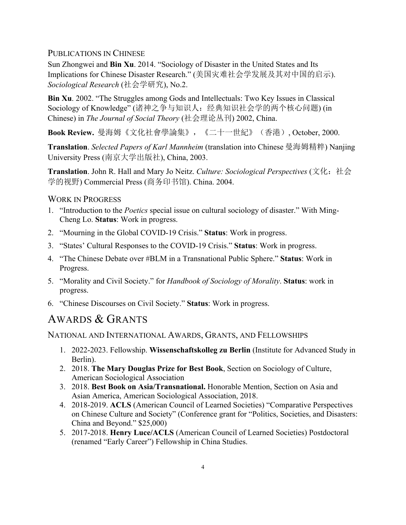#### PUBLICATIONS IN CHINESE

Sun Zhongwei and **Bin Xu**. 2014. "Sociology of Disaster in the United States and Its Implications for Chinese Disaster Research." (美国灾难社会学发展及其对中国的启示). *Sociological Research* (社会学研究), No.2.

**Bin Xu**. 2002. "The Struggles among Gods and Intellectuals: Two Key Issues in Classical Sociology of Knowledge" (诸神之争与知识人:经典知识社会学的两个核心问题) (in Chinese) in *The Journal of Social Theory* (社会理论丛刊) 2002, China.

**Book Review.** 曼海姆《文化社會學論集》,《二十一世紀》(香港), October, 2000.

**Translation**. *Selected Papers of Karl Mannheim* (translation into Chinese 曼海姆精粹) Nanjing University Press (南京大学出版社), China, 2003.

**Translation**. John R. Hall and Mary Jo Neitz. *Culture: Sociological Perspectives* (文化:社会 学的视野) Commercial Press (商务印书馆). China. 2004.

#### WORK IN PROGRESS

- 1. "Introduction to the *Poetics* special issue on cultural sociology of disaster." With Ming-Cheng Lo. **Status**: Work in progress.
- 2. "Mourning in the Global COVID-19 Crisis." **Status**: Work in progress.
- 3. "States' Cultural Responses to the COVID-19 Crisis." **Status**: Work in progress.
- 4. "The Chinese Debate over #BLM in a Transnational Public Sphere." **Status**: Work in Progress.
- 5. "Morality and Civil Society." for *Handbook of Sociology of Morality*. **Status**: work in progress.
- 6. "Chinese Discourses on Civil Society." **Status**: Work in progress.

### AWARDS & GRANTS

NATIONAL AND INTERNATIONAL AWARDS, GRANTS, AND FELLOWSHIPS

- 1. 2022-2023. Fellowship. **Wissenschaftskolleg zu Berlin** (Institute for Advanced Study in Berlin).
- 2. 2018. **The Mary Douglas Prize for Best Book**, Section on Sociology of Culture, American Sociological Association
- 3. 2018. **Best Book on Asia/Transnational.** Honorable Mention, Section on Asia and Asian America, American Sociological Association, 2018.
- 4. 2018-2019. **ACLS** (American Council of Learned Societies) "Comparative Perspectives on Chinese Culture and Society" (Conference grant for "Politics, Societies, and Disasters: China and Beyond." \$25,000)
- 5. 2017-2018. **Henry Luce/ACLS** (American Council of Learned Societies) Postdoctoral (renamed "Early Career") Fellowship in China Studies.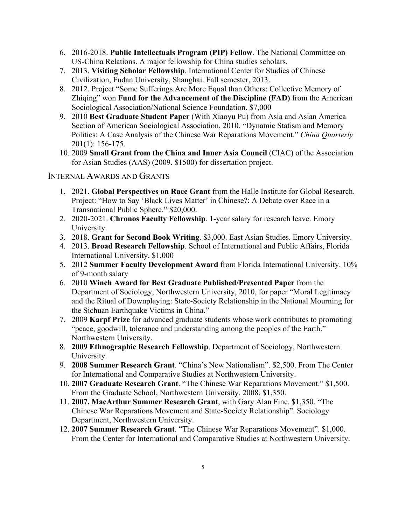- 6. 2016-2018. **Public Intellectuals Program (PIP) Fellow**. The National Committee on US-China Relations. A major fellowship for China studies scholars.
- 7. 2013. **Visiting Scholar Fellowship**. International Center for Studies of Chinese Civilization, Fudan University, Shanghai. Fall semester, 2013.
- 8. 2012. Project "Some Sufferings Are More Equal than Others: Collective Memory of Zhiqing" won **Fund for the Advancement of the Discipline (FAD)** from the American Sociological Association/National Science Foundation. \$7,000
- 9. 2010 **Best Graduate Student Paper** (With Xiaoyu Pu) from Asia and Asian America Section of American Sociological Association, 2010. "Dynamic Statism and Memory Politics: A Case Analysis of the Chinese War Reparations Movement." *China Quarterly*  201(1): 156-175.
- 10. 2009 **Small Grant from the China and Inner Asia Council** (CIAC) of the Association for Asian Studies (AAS) (2009. \$1500) for dissertation project.

#### INTERNAL AWARDS AND GRANTS

- 1. 2021. **Global Perspectives on Race Grant** from the Halle Institute for Global Research. Project: "How to Say 'Black Lives Matter' in Chinese?: A Debate over Race in a Transnational Public Sphere." \$20,000.
- 2. 2020-2021. **Chronos Faculty Fellowship**. 1-year salary for research leave. Emory University.
- 3. 2018. **Grant for Second Book Writing**. \$3,000. East Asian Studies. Emory University.
- 4. 2013. **Broad Research Fellowship**. School of International and Public Affairs, Florida International University. \$1,000
- 5. 2012 **Summer Faculty Development Award** from Florida International University. 10% of 9-month salary
- 6. 2010 **Winch Award for Best Graduate Published/Presented Paper** from the Department of Sociology, Northwestern University, 2010, for paper "Moral Legitimacy and the Ritual of Downplaying: State-Society Relationship in the National Mourning for the Sichuan Earthquake Victims in China."
- 7. 2009 **Karpf Prize** for advanced graduate students whose work contributes to promoting "peace, goodwill, tolerance and understanding among the peoples of the Earth." Northwestern University.
- 8. **2009 Ethnographic Research Fellowship**. Department of Sociology, Northwestern University.
- 9. **2008 Summer Research Grant**. "China's New Nationalism". \$2,500. From The Center for International and Comparative Studies at Northwestern University.
- 10. **2007 Graduate Research Grant**. "The Chinese War Reparations Movement." \$1,500. From the Graduate School, Northwestern University. 2008. \$1,350.
- 11. **2007. MacArthur Summer Research Grant**, with Gary Alan Fine. \$1,350. "The Chinese War Reparations Movement and State-Society Relationship". Sociology Department, Northwestern University.
- 12. **2007 Summer Research Grant**. "The Chinese War Reparations Movement". \$1,000. From the Center for International and Comparative Studies at Northwestern University.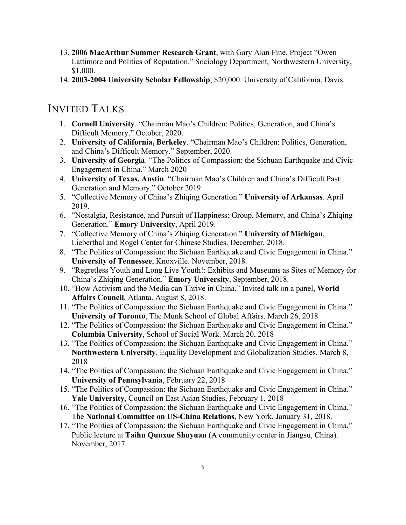- 13. **2006 MacArthur Summer Research Grant**, with Gary Alan Fine. Project "Owen Lattimore and Politics of Reputation." Sociology Department, Northwestern University, \$1,000.
- 14. **2003-2004 University Scholar Fellowship**, \$20,000. University of California, Davis.

### INVITED TALKS

- 1. **Cornell University**. "Chairman Mao's Children: Politics, Generation, and China's Difficult Memory." October, 2020.
- 2. **University of California, Berkeley**. "Chairman Mao's Children: Politics, Generation, and China's Difficult Memory." September, 2020.
- 3. **University of Georgia**. "The Politics of Compassion: the Sichuan Earthquake and Civic Engagement in China." March 2020
- 4. **University of Texas, Austin**. "Chairman Mao's Children and China's Difficult Past: Generation and Memory." October 2019
- 5. "Collective Memory of China's Zhiqing Generation." **University of Arkansas**. April 2019.
- 6. "Nostalgia, Resistance, and Pursuit of Happiness: Group, Memory, and China's Zhiqing Generation." **Emory University**, April 2019.
- 7. "Collective Memory of China's Zhiqing Generation." **University of Michigan**, Lieberthal and Rogel Center for Chinese Studies. December, 2018.
- 8. "The Politics of Compassion: the Sichuan Earthquake and Civic Engagement in China." **University of Tennessee**, Knoxville. November, 2018.
- 9. "Regretless Youth and Long Live Youth!: Exhibits and Museums as Sites of Memory for China's Zhiqing Generation." **Emory University**, September, 2018.
- 10. "How Activism and the Media can Thrive in China." Invited talk on a panel, **World Affairs Council**, Atlanta. August 8, 2018.
- 11. "The Politics of Compassion: the Sichuan Earthquake and Civic Engagement in China." **University of Toronto**, The Munk School of Global Affairs. March 26, 2018
- 12. "The Politics of Compassion: the Sichuan Earthquake and Civic Engagement in China." **Columbia University**, School of Social Work. March 20, 2018
- 13. "The Politics of Compassion: the Sichuan Earthquake and Civic Engagement in China." **Northwestern University**, Equality Development and Globalization Studies. March 8, 2018
- 14. "The Politics of Compassion: the Sichuan Earthquake and Civic Engagement in China." **University of Pennsylvania**, February 22, 2018
- 15. "The Politics of Compassion: the Sichuan Earthquake and Civic Engagement in China." **Yale University**, Council on East Asian Studies, February 1, 2018
- 16. "The Politics of Compassion: the Sichuan Earthquake and Civic Engagement in China." The **National Committee on US-China Relations**, New York. January 31, 2018.
- 17. "The Politics of Compassion: the Sichuan Earthquake and Civic Engagement in China." Public lecture at **Taihu Qunxue Shuyuan** (A community center in Jiangsu, China). November, 2017.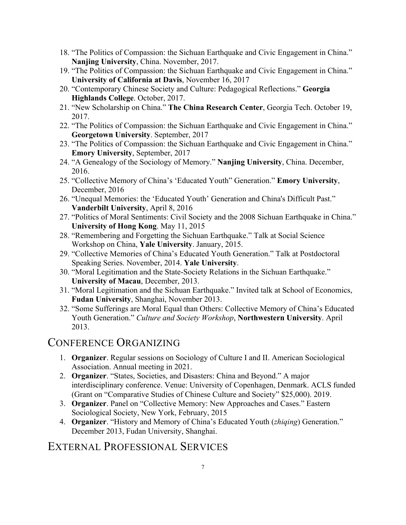- 18. "The Politics of Compassion: the Sichuan Earthquake and Civic Engagement in China." **Nanjing University**, China. November, 2017.
- 19. "The Politics of Compassion: the Sichuan Earthquake and Civic Engagement in China." **University of California at Davis**, November 16, 2017
- 20. "Contemporary Chinese Society and Culture: Pedagogical Reflections." **Georgia Highlands College**. October, 2017.
- 21. "New Scholarship on China." **The China Research Center**, Georgia Tech. October 19, 2017.
- 22. "The Politics of Compassion: the Sichuan Earthquake and Civic Engagement in China." **Georgetown University**. September, 2017
- 23. "The Politics of Compassion: the Sichuan Earthquake and Civic Engagement in China." **Emory University**, September, 2017
- 24. "A Genealogy of the Sociology of Memory." **Nanjing University**, China. December, 2016.
- 25. "Collective Memory of China's 'Educated Youth" Generation." **Emory University**, December, 2016
- 26. "Unequal Memories: the 'Educated Youth' Generation and China's Difficult Past." **Vanderbilt University**, April 8, 2016
- 27. "Politics of Moral Sentiments: Civil Society and the 2008 Sichuan Earthquake in China." **University of Hong Kong**. May 11, 2015
- 28. "Remembering and Forgetting the Sichuan Earthquake." Talk at Social Science Workshop on China, **Yale University**. January, 2015.
- 29. "Collective Memories of China's Educated Youth Generation." Talk at Postdoctoral Speaking Series. November, 2014. **Yale University**.
- 30. "Moral Legitimation and the State-Society Relations in the Sichuan Earthquake." **University of Macau**, December, 2013.
- 31. "Moral Legitimation and the Sichuan Earthquake." Invited talk at School of Economics, **Fudan University**, Shanghai, November 2013.
- 32. "Some Sufferings are Moral Equal than Others: Collective Memory of China's Educated Youth Generation." *Culture and Society Workshop*, **Northwestern University**. April 2013.

### CONFERENCE ORGANIZING

- 1. **Organizer**. Regular sessions on Sociology of Culture I and II. American Sociological Association. Annual meeting in 2021.
- 2. **Organizer**. "States, Societies, and Disasters: China and Beyond." A major interdisciplinary conference. Venue: University of Copenhagen, Denmark. ACLS funded (Grant on "Comparative Studies of Chinese Culture and Society" \$25,000). 2019.
- 3. **Organizer**. Panel on "Collective Memory: New Approaches and Cases." Eastern Sociological Society, New York, February, 2015
- 4. **Organizer**. "History and Memory of China's Educated Youth (*zhiqing*) Generation." December 2013, Fudan University, Shanghai.

# EXTERNAL PROFESSIONAL SERVICES